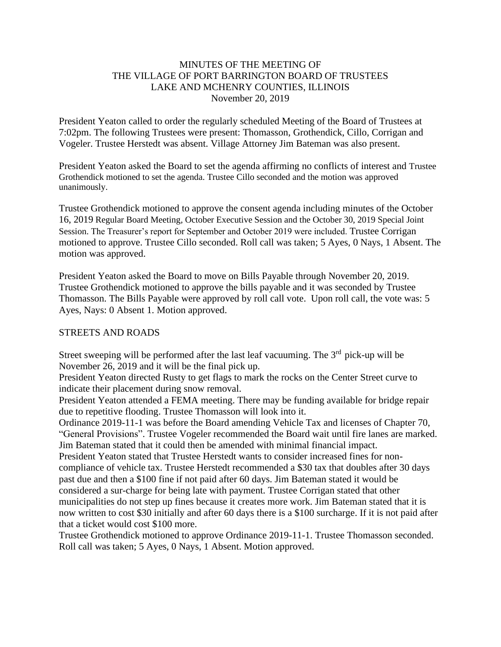#### MINUTES OF THE MEETING OF THE VILLAGE OF PORT BARRINGTON BOARD OF TRUSTEES LAKE AND MCHENRY COUNTIES, ILLINOIS November 20, 2019

President Yeaton called to order the regularly scheduled Meeting of the Board of Trustees at 7:02pm. The following Trustees were present: Thomasson, Grothendick, Cillo, Corrigan and Vogeler. Trustee Herstedt was absent. Village Attorney Jim Bateman was also present.

President Yeaton asked the Board to set the agenda affirming no conflicts of interest and Trustee Grothendick motioned to set the agenda. Trustee Cillo seconded and the motion was approved unanimously.

Trustee Grothendick motioned to approve the consent agenda including minutes of the October 16, 2019 Regular Board Meeting, October Executive Session and the October 30, 2019 Special Joint Session. The Treasurer's report for September and October 2019 were included. Trustee Corrigan motioned to approve. Trustee Cillo seconded. Roll call was taken; 5 Ayes, 0 Nays, 1 Absent. The motion was approved.

President Yeaton asked the Board to move on Bills Payable through November 20, 2019. Trustee Grothendick motioned to approve the bills payable and it was seconded by Trustee Thomasson. The Bills Payable were approved by roll call vote. Upon roll call, the vote was: 5 Ayes, Nays: 0 Absent 1. Motion approved.

#### STREETS AND ROADS

Street sweeping will be performed after the last leaf vacuuming. The  $3<sup>rd</sup>$  pick-up will be November 26, 2019 and it will be the final pick up.

President Yeaton directed Rusty to get flags to mark the rocks on the Center Street curve to indicate their placement during snow removal.

President Yeaton attended a FEMA meeting. There may be funding available for bridge repair due to repetitive flooding. Trustee Thomasson will look into it.

Ordinance 2019-11-1 was before the Board amending Vehicle Tax and licenses of Chapter 70, "General Provisions". Trustee Vogeler recommended the Board wait until fire lanes are marked. Jim Bateman stated that it could then be amended with minimal financial impact.

President Yeaton stated that Trustee Herstedt wants to consider increased fines for noncompliance of vehicle tax. Trustee Herstedt recommended a \$30 tax that doubles after 30 days past due and then a \$100 fine if not paid after 60 days. Jim Bateman stated it would be considered a sur-charge for being late with payment. Trustee Corrigan stated that other municipalities do not step up fines because it creates more work. Jim Bateman stated that it is now written to cost \$30 initially and after 60 days there is a \$100 surcharge. If it is not paid after that a ticket would cost \$100 more.

Trustee Grothendick motioned to approve Ordinance 2019-11-1. Trustee Thomasson seconded. Roll call was taken; 5 Ayes, 0 Nays, 1 Absent. Motion approved.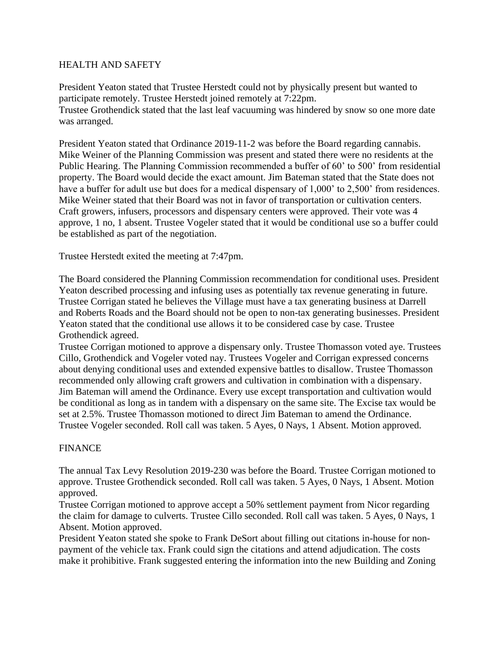#### HEALTH AND SAFETY

President Yeaton stated that Trustee Herstedt could not by physically present but wanted to participate remotely. Trustee Herstedt joined remotely at 7:22pm. Trustee Grothendick stated that the last leaf vacuuming was hindered by snow so one more date was arranged.

President Yeaton stated that Ordinance 2019-11-2 was before the Board regarding cannabis. Mike Weiner of the Planning Commission was present and stated there were no residents at the Public Hearing. The Planning Commission recommended a buffer of 60' to 500' from residential property. The Board would decide the exact amount. Jim Bateman stated that the State does not have a buffer for adult use but does for a medical dispensary of 1,000' to 2,500' from residences. Mike Weiner stated that their Board was not in favor of transportation or cultivation centers. Craft growers, infusers, processors and dispensary centers were approved. Their vote was 4 approve, 1 no, 1 absent. Trustee Vogeler stated that it would be conditional use so a buffer could be established as part of the negotiation.

Trustee Herstedt exited the meeting at 7:47pm.

The Board considered the Planning Commission recommendation for conditional uses. President Yeaton described processing and infusing uses as potentially tax revenue generating in future. Trustee Corrigan stated he believes the Village must have a tax generating business at Darrell and Roberts Roads and the Board should not be open to non-tax generating businesses. President Yeaton stated that the conditional use allows it to be considered case by case. Trustee Grothendick agreed.

Trustee Corrigan motioned to approve a dispensary only. Trustee Thomasson voted aye. Trustees Cillo, Grothendick and Vogeler voted nay. Trustees Vogeler and Corrigan expressed concerns about denying conditional uses and extended expensive battles to disallow. Trustee Thomasson recommended only allowing craft growers and cultivation in combination with a dispensary. Jim Bateman will amend the Ordinance. Every use except transportation and cultivation would be conditional as long as in tandem with a dispensary on the same site. The Excise tax would be set at 2.5%. Trustee Thomasson motioned to direct Jim Bateman to amend the Ordinance. Trustee Vogeler seconded. Roll call was taken. 5 Ayes, 0 Nays, 1 Absent. Motion approved.

#### FINANCE

The annual Tax Levy Resolution 2019-230 was before the Board. Trustee Corrigan motioned to approve. Trustee Grothendick seconded. Roll call was taken. 5 Ayes, 0 Nays, 1 Absent. Motion approved.

Trustee Corrigan motioned to approve accept a 50% settlement payment from Nicor regarding the claim for damage to culverts. Trustee Cillo seconded. Roll call was taken. 5 Ayes, 0 Nays, 1 Absent. Motion approved.

President Yeaton stated she spoke to Frank DeSort about filling out citations in-house for nonpayment of the vehicle tax. Frank could sign the citations and attend adjudication. The costs make it prohibitive. Frank suggested entering the information into the new Building and Zoning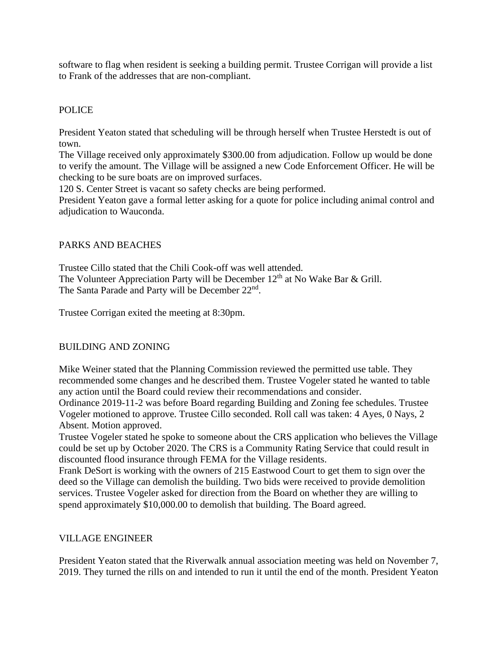software to flag when resident is seeking a building permit. Trustee Corrigan will provide a list to Frank of the addresses that are non-compliant.

### POLICE

President Yeaton stated that scheduling will be through herself when Trustee Herstedt is out of town.

The Village received only approximately \$300.00 from adjudication. Follow up would be done to verify the amount. The Village will be assigned a new Code Enforcement Officer. He will be checking to be sure boats are on improved surfaces.

120 S. Center Street is vacant so safety checks are being performed.

President Yeaton gave a formal letter asking for a quote for police including animal control and adjudication to Wauconda.

### PARKS AND BEACHES

Trustee Cillo stated that the Chili Cook-off was well attended. The Volunteer Appreciation Party will be December  $12<sup>th</sup>$  at No Wake Bar & Grill. The Santa Parade and Party will be December 22<sup>nd</sup>.

Trustee Corrigan exited the meeting at 8:30pm.

### BUILDING AND ZONING

Mike Weiner stated that the Planning Commission reviewed the permitted use table. They recommended some changes and he described them. Trustee Vogeler stated he wanted to table any action until the Board could review their recommendations and consider.

Ordinance 2019-11-2 was before Board regarding Building and Zoning fee schedules. Trustee Vogeler motioned to approve. Trustee Cillo seconded. Roll call was taken: 4 Ayes, 0 Nays, 2 Absent. Motion approved.

Trustee Vogeler stated he spoke to someone about the CRS application who believes the Village could be set up by October 2020. The CRS is a Community Rating Service that could result in discounted flood insurance through FEMA for the Village residents.

Frank DeSort is working with the owners of 215 Eastwood Court to get them to sign over the deed so the Village can demolish the building. Two bids were received to provide demolition services. Trustee Vogeler asked for direction from the Board on whether they are willing to spend approximately \$10,000.00 to demolish that building. The Board agreed.

#### VILLAGE ENGINEER

President Yeaton stated that the Riverwalk annual association meeting was held on November 7, 2019. They turned the rills on and intended to run it until the end of the month. President Yeaton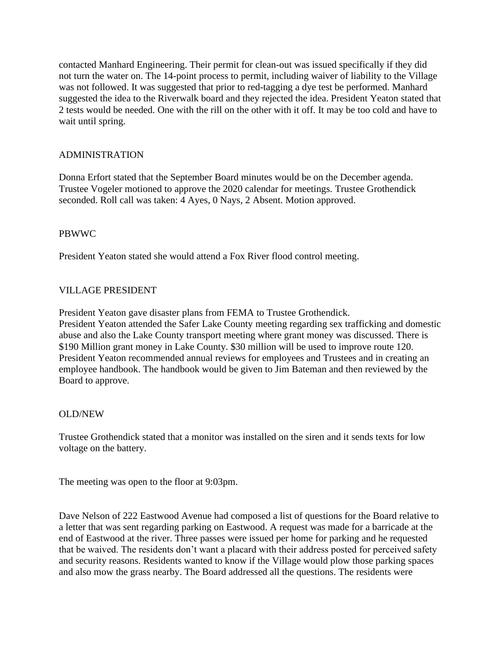contacted Manhard Engineering. Their permit for clean-out was issued specifically if they did not turn the water on. The 14-point process to permit, including waiver of liability to the Village was not followed. It was suggested that prior to red-tagging a dye test be performed. Manhard suggested the idea to the Riverwalk board and they rejected the idea. President Yeaton stated that 2 tests would be needed. One with the rill on the other with it off. It may be too cold and have to wait until spring.

## ADMINISTRATION

Donna Erfort stated that the September Board minutes would be on the December agenda. Trustee Vogeler motioned to approve the 2020 calendar for meetings. Trustee Grothendick seconded. Roll call was taken: 4 Ayes, 0 Nays, 2 Absent. Motion approved.

### PBWWC

President Yeaton stated she would attend a Fox River flood control meeting.

# VILLAGE PRESIDENT

President Yeaton gave disaster plans from FEMA to Trustee Grothendick. President Yeaton attended the Safer Lake County meeting regarding sex trafficking and domestic abuse and also the Lake County transport meeting where grant money was discussed. There is \$190 Million grant money in Lake County. \$30 million will be used to improve route 120. President Yeaton recommended annual reviews for employees and Trustees and in creating an employee handbook. The handbook would be given to Jim Bateman and then reviewed by the Board to approve.

### OLD/NEW

Trustee Grothendick stated that a monitor was installed on the siren and it sends texts for low voltage on the battery.

The meeting was open to the floor at 9:03pm.

Dave Nelson of 222 Eastwood Avenue had composed a list of questions for the Board relative to a letter that was sent regarding parking on Eastwood. A request was made for a barricade at the end of Eastwood at the river. Three passes were issued per home for parking and he requested that be waived. The residents don't want a placard with their address posted for perceived safety and security reasons. Residents wanted to know if the Village would plow those parking spaces and also mow the grass nearby. The Board addressed all the questions. The residents were